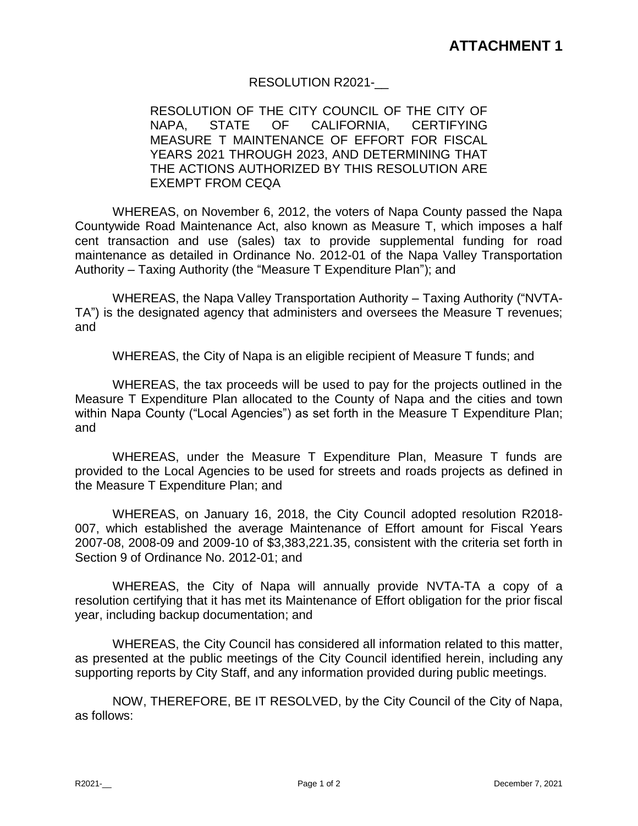## RESOLUTION R2021-\_\_

RESOLUTION OF THE CITY COUNCIL OF THE CITY OF NAPA, STATE OF CALIFORNIA, CERTIFYING MEASURE T MAINTENANCE OF EFFORT FOR FISCAL YEARS 2021 THROUGH 2023, AND DETERMINING THAT THE ACTIONS AUTHORIZED BY THIS RESOLUTION ARE EXEMPT FROM CEQA

WHEREAS, on November 6, 2012, the voters of Napa County passed the Napa Countywide Road Maintenance Act, also known as Measure T, which imposes a half cent transaction and use (sales) tax to provide supplemental funding for road maintenance as detailed in Ordinance No. 2012-01 of the Napa Valley Transportation Authority – Taxing Authority (the "Measure T Expenditure Plan"); and

WHEREAS, the Napa Valley Transportation Authority – Taxing Authority ("NVTA-TA") is the designated agency that administers and oversees the Measure T revenues; and

WHEREAS, the City of Napa is an eligible recipient of Measure T funds; and

WHEREAS, the tax proceeds will be used to pay for the projects outlined in the Measure T Expenditure Plan allocated to the County of Napa and the cities and town within Napa County ("Local Agencies") as set forth in the Measure T Expenditure Plan; and

WHEREAS, under the Measure T Expenditure Plan, Measure T funds are provided to the Local Agencies to be used for streets and roads projects as defined in the Measure T Expenditure Plan; and

WHEREAS, on January 16, 2018, the City Council adopted resolution R2018- 007, which established the average Maintenance of Effort amount for Fiscal Years 2007-08, 2008-09 and 2009-10 of \$3,383,221.35, consistent with the criteria set forth in Section 9 of Ordinance No. 2012-01; and

WHEREAS, the City of Napa will annually provide NVTA-TA a copy of a resolution certifying that it has met its Maintenance of Effort obligation for the prior fiscal year, including backup documentation; and

WHEREAS, the City Council has considered all information related to this matter, as presented at the public meetings of the City Council identified herein, including any supporting reports by City Staff, and any information provided during public meetings.

NOW, THEREFORE, BE IT RESOLVED, by the City Council of the City of Napa, as follows: